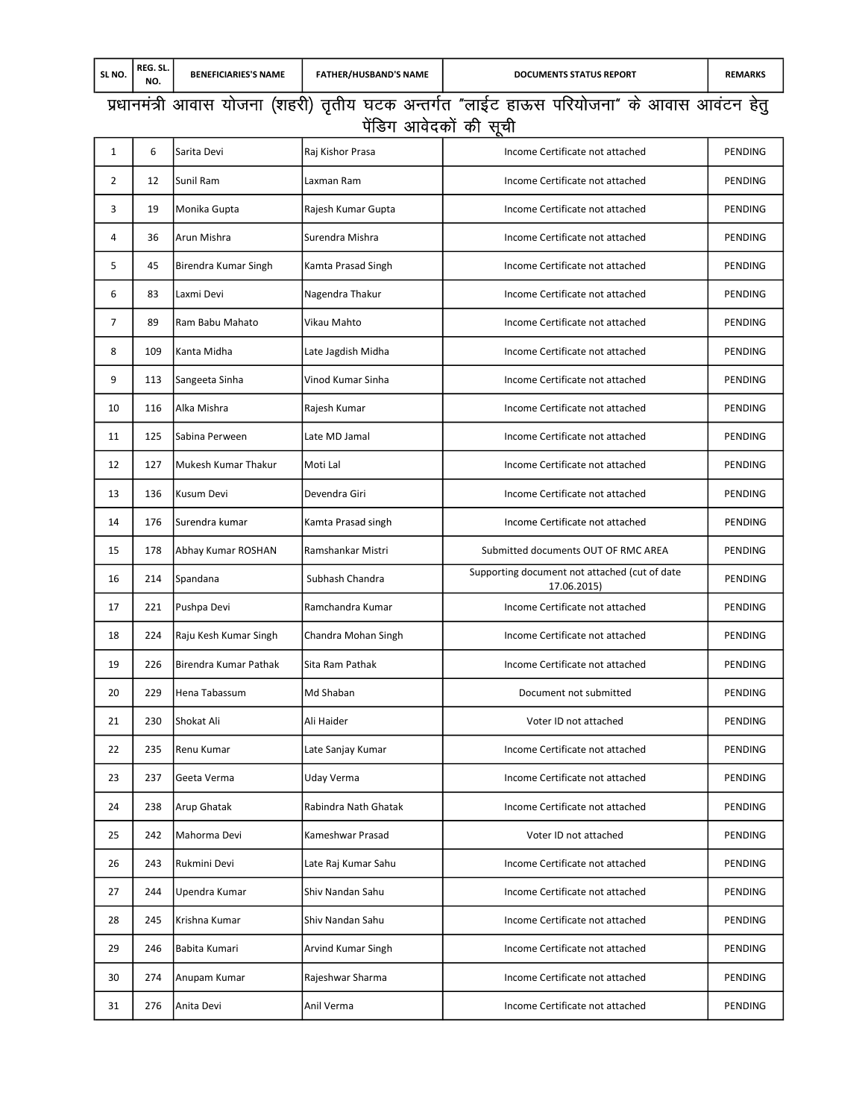## i z/kkue a=h vkokl ;k stuk ¼'kgjh½ r `rh; ?kVd vUrx Zr Þykb ZV gkÅl ifj;k stukß d s vkokl vko aVu g srq <u>पेंडिग आवेदकों की सूची</u>

| 1  | 6   | Sarita Devi           | Raj Kishor Prasa     | Income Certificate not attached                              | PENDING        |
|----|-----|-----------------------|----------------------|--------------------------------------------------------------|----------------|
| 2  | 12  | Sunil Ram             | Laxman Ram           | Income Certificate not attached                              | PENDING        |
| 3  | 19  | Monika Gupta          | Rajesh Kumar Gupta   | Income Certificate not attached                              | PENDING        |
| 4  | 36  | Arun Mishra           | Surendra Mishra      | Income Certificate not attached                              | PENDING        |
| 5  | 45  | Birendra Kumar Singh  | Kamta Prasad Singh   | Income Certificate not attached                              | PENDING        |
| 6  | 83  | Laxmi Devi            | Nagendra Thakur      | Income Certificate not attached                              | PENDING        |
| 7  | 89  | Ram Babu Mahato       | Vikau Mahto          | Income Certificate not attached                              | PENDING        |
| 8  | 109 | Kanta Midha           | Late Jagdish Midha   | Income Certificate not attached                              | PENDING        |
| 9  | 113 | Sangeeta Sinha        | Vinod Kumar Sinha    | Income Certificate not attached                              | PENDING        |
| 10 | 116 | Alka Mishra           | Rajesh Kumar         | Income Certificate not attached                              | PENDING        |
| 11 | 125 | Sabina Perween        | Late MD Jamal        | Income Certificate not attached                              | PENDING        |
| 12 | 127 | Mukesh Kumar Thakur   | Moti Lal             | Income Certificate not attached                              | PENDING        |
| 13 | 136 | Kusum Devi            | Devendra Giri        | Income Certificate not attached                              | PENDING        |
| 14 | 176 | Surendra kumar        | Kamta Prasad singh   | Income Certificate not attached                              | PENDING        |
| 15 | 178 | Abhay Kumar ROSHAN    | Ramshankar Mistri    | Submitted documents OUT OF RMC AREA                          | PENDING        |
| 16 | 214 | Spandana              | Subhash Chandra      | Supporting document not attached (cut of date<br>17.06.2015) | PENDING        |
| 17 | 221 | Pushpa Devi           | Ramchandra Kumar     | Income Certificate not attached                              | PENDING        |
| 18 | 224 | Raju Kesh Kumar Singh | Chandra Mohan Singh  | Income Certificate not attached                              | PENDING        |
| 19 | 226 | Birendra Kumar Pathak | Sita Ram Pathak      | Income Certificate not attached                              | PENDING        |
| 20 | 229 | Hena Tabassum         | Md Shaban            | Document not submitted                                       | PENDING        |
| 21 | 230 | Shokat Ali            | Ali Haider           | Voter ID not attached                                        | <b>PENDING</b> |
| 22 | 235 | Renu Kumar            | Late Sanjay Kumar    | Income Certificate not attached                              | PENDING        |
| 23 | 237 | Geeta Verma           | Uday Verma           | Income Certificate not attached                              | PENDING        |
| 24 | 238 | Arup Ghatak           | Rabindra Nath Ghatak | Income Certificate not attached                              | PENDING        |
| 25 | 242 | Mahorma Devi          | Kameshwar Prasad     | Voter ID not attached                                        | PENDING        |
| 26 | 243 | Rukmini Devi          | Late Raj Kumar Sahu  | Income Certificate not attached                              | PENDING        |
| 27 | 244 | Upendra Kumar         | Shiv Nandan Sahu     | Income Certificate not attached                              | PENDING        |
| 28 | 245 | Krishna Kumar         | Shiv Nandan Sahu     | Income Certificate not attached                              | PENDING        |
| 29 | 246 | Babita Kumari         | Arvind Kumar Singh   | Income Certificate not attached                              | PENDING        |
| 30 | 274 | Anupam Kumar          | Rajeshwar Sharma     | Income Certificate not attached                              | PENDING        |
| 31 | 276 | Anita Devi            | Anil Verma           | Income Certificate not attached                              | PENDING        |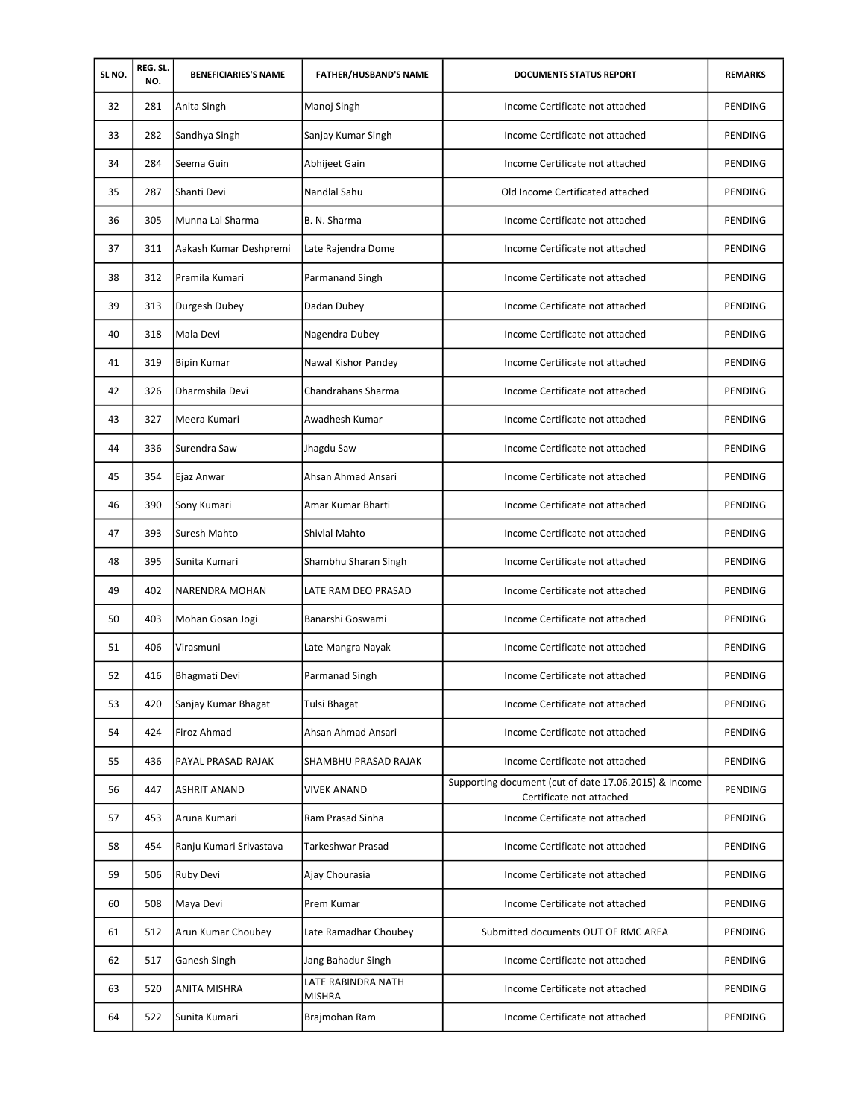| SL NO. | REG. SL.<br>NO. | <b>BENEFICIARIES'S NAME</b> | <b>FATHER/HUSBAND'S NAME</b>        | <b>DOCUMENTS STATUS REPORT</b>                                                    | <b>REMARKS</b> |
|--------|-----------------|-----------------------------|-------------------------------------|-----------------------------------------------------------------------------------|----------------|
| 32     | 281             | Anita Singh                 | Manoj Singh                         | Income Certificate not attached                                                   | PENDING        |
| 33     | 282             | Sandhya Singh               | Sanjay Kumar Singh                  | Income Certificate not attached                                                   | PENDING        |
| 34     | 284             | Seema Guin                  | Abhijeet Gain                       | Income Certificate not attached                                                   | PENDING        |
| 35     | 287             | Shanti Devi                 | Nandlal Sahu                        | Old Income Certificated attached                                                  | PENDING        |
| 36     | 305             | Munna Lal Sharma            | B. N. Sharma                        | Income Certificate not attached                                                   | PENDING        |
| 37     | 311             | Aakash Kumar Deshpremi      | Late Rajendra Dome                  | Income Certificate not attached                                                   | PENDING        |
| 38     | 312             | Pramila Kumari              | Parmanand Singh                     | Income Certificate not attached                                                   | <b>PENDING</b> |
| 39     | 313             | Durgesh Dubey               | Dadan Dubey                         | Income Certificate not attached                                                   | PENDING        |
| 40     | 318             | Mala Devi                   | Nagendra Dubey                      | Income Certificate not attached                                                   | PENDING        |
| 41     | 319             | <b>Bipin Kumar</b>          | Nawal Kishor Pandey                 | Income Certificate not attached                                                   | PENDING        |
| 42     | 326             | Dharmshila Devi             | Chandrahans Sharma                  | Income Certificate not attached                                                   | PENDING        |
| 43     | 327             | Meera Kumari                | Awadhesh Kumar                      | Income Certificate not attached                                                   | PENDING        |
| 44     | 336             | Surendra Saw                | Jhagdu Saw                          | Income Certificate not attached                                                   | PENDING        |
| 45     | 354             | Ejaz Anwar                  | Ahsan Ahmad Ansari                  | Income Certificate not attached                                                   | PENDING        |
| 46     | 390             | Sony Kumari                 | Amar Kumar Bharti                   | Income Certificate not attached                                                   | PENDING        |
| 47     | 393             | Suresh Mahto                | Shivlal Mahto                       | Income Certificate not attached                                                   | PENDING        |
| 48     | 395             | Sunita Kumari               | Shambhu Sharan Singh                | Income Certificate not attached                                                   | PENDING        |
| 49     | 402             | <b>NARENDRA MOHAN</b>       | LATE RAM DEO PRASAD                 | Income Certificate not attached                                                   | PENDING        |
| 50     | 403             | Mohan Gosan Jogi            | Banarshi Goswami                    | Income Certificate not attached                                                   | PENDING        |
| 51     | 406             | Virasmuni                   | Late Mangra Nayak                   | Income Certificate not attached                                                   | PENDING        |
| 52     | 416             | Bhagmati Devi               | Parmanad Singh                      | Income Certificate not attached                                                   | PENDING        |
| 53     | 420             | Sanjay Kumar Bhagat         | Tulsi Bhagat                        | Income Certificate not attached                                                   | PENDING        |
| 54     | 424             | Firoz Ahmad                 | Ahsan Ahmad Ansari                  | Income Certificate not attached                                                   | PENDING        |
| 55     | 436             | PAYAL PRASAD RAJAK          | SHAMBHU PRASAD RAJAK                | Income Certificate not attached                                                   | PENDING        |
| 56     | 447             | <b>ASHRIT ANAND</b>         | <b>VIVEK ANAND</b>                  | Supporting document (cut of date 17.06.2015) & Income<br>Certificate not attached | PENDING        |
| 57     | 453             | Aruna Kumari                | Ram Prasad Sinha                    | Income Certificate not attached                                                   | PENDING        |
| 58     | 454             | Ranju Kumari Srivastava     | Tarkeshwar Prasad                   | Income Certificate not attached                                                   | PENDING        |
| 59     | 506             | Ruby Devi                   | Ajay Chourasia                      | Income Certificate not attached                                                   | PENDING        |
| 60     | 508             | Maya Devi                   | Prem Kumar                          | Income Certificate not attached                                                   | PENDING        |
| 61     | 512             | Arun Kumar Choubey          | Late Ramadhar Choubey               | Submitted documents OUT OF RMC AREA                                               | PENDING        |
| 62     | 517             | Ganesh Singh                | Jang Bahadur Singh                  | Income Certificate not attached                                                   | PENDING        |
| 63     | 520             | ANITA MISHRA                | LATE RABINDRA NATH<br><b>MISHRA</b> | Income Certificate not attached                                                   | PENDING        |
| 64     | 522             | Sunita Kumari               | Brajmohan Ram                       | Income Certificate not attached                                                   | PENDING        |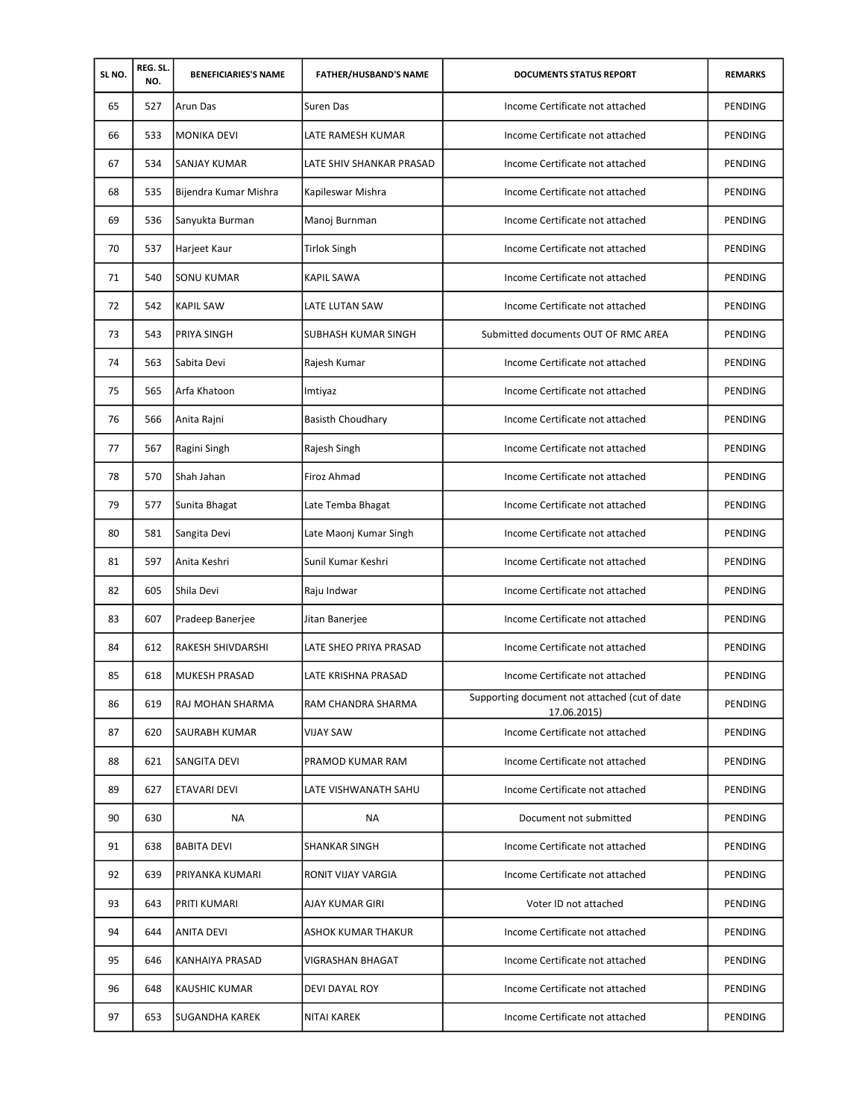| SL NO. | REG. SL.<br>NO. | <b>BENEFICIARIES'S NAME</b> | <b>FATHER/HUSBAND'S NAME</b> | <b>DOCUMENTS STATUS REPORT</b>                               | <b>REMARKS</b> |
|--------|-----------------|-----------------------------|------------------------------|--------------------------------------------------------------|----------------|
| 65     | 527             | <b>Arun Das</b>             | Suren Das                    | Income Certificate not attached                              | PENDING        |
| 66     | 533             | <b>MONIKA DEVI</b>          | LATE RAMESH KUMAR            | Income Certificate not attached                              | PENDING        |
| 67     | 534             | SANJAY KUMAR                | LATE SHIV SHANKAR PRASAD     | Income Certificate not attached                              | PENDING        |
| 68     | 535             | Bijendra Kumar Mishra       | Kapileswar Mishra            | Income Certificate not attached                              | PENDING        |
| 69     | 536             | Sanyukta Burman             | Manoj Burnman                | Income Certificate not attached                              | <b>PENDING</b> |
| 70     | 537             | Harjeet Kaur                | <b>Tirlok Singh</b>          | Income Certificate not attached                              | <b>PENDING</b> |
| 71     | 540             | <b>SONU KUMAR</b>           | <b>KAPIL SAWA</b>            | Income Certificate not attached                              | <b>PENDING</b> |
| 72     | 542             | <b>KAPIL SAW</b>            | LATE LUTAN SAW               | Income Certificate not attached                              | PENDING        |
| 73     | 543             | PRIYA SINGH                 | <b>SUBHASH KUMAR SINGH</b>   | Submitted documents OUT OF RMC AREA                          | PENDING        |
| 74     | 563             | Sabita Devi                 | Rajesh Kumar                 | Income Certificate not attached                              | PENDING        |
| 75     | 565             | Arfa Khatoon                | Imtiyaz                      | Income Certificate not attached                              | <b>PENDING</b> |
| 76     | 566             | Anita Rajni                 | <b>Basisth Choudhary</b>     | Income Certificate not attached                              | PENDING        |
| 77     | 567             | Ragini Singh                | Rajesh Singh                 | Income Certificate not attached                              | <b>PENDING</b> |
| 78     | 570             | Shah Jahan                  | Firoz Ahmad                  | Income Certificate not attached                              | PENDING        |
| 79     | 577             | Sunita Bhagat               | Late Temba Bhagat            | Income Certificate not attached                              | PENDING        |
| 80     | 581             | Sangita Devi                | Late Maonj Kumar Singh       | Income Certificate not attached                              | PENDING        |
| 81     | 597             | Anita Keshri                | Sunil Kumar Keshri           | Income Certificate not attached                              | PENDING        |
| 82     | 605             | Shila Devi                  | Raju Indwar                  | Income Certificate not attached                              | PENDING        |
| 83     | 607             | Pradeep Banerjee            | Jitan Banerjee               | Income Certificate not attached                              | PENDING        |
| 84     | 612             | RAKESH SHIVDARSHI           | LATE SHEO PRIYA PRASAD       | Income Certificate not attached                              | PENDING        |
| 85     | 618             | <b>MUKESH PRASAD</b>        | LATE KRISHNA PRASAD          | Income Certificate not attached                              | PENDING        |
| 86     | 619             | RAJ MOHAN SHARMA            | RAM CHANDRA SHARMA           | Supporting document not attached (cut of date<br>17.06.2015) | PENDING        |
| 87     | 620             | <b>SAURABH KUMAR</b>        | <b>VIJAY SAW</b>             | Income Certificate not attached                              | PENDING        |
| 88     | 621             | <b>SANGITA DEVI</b>         | PRAMOD KUMAR RAM             | Income Certificate not attached                              | PENDING        |
| 89     | 627             | ETAVARI DEVI                | LATE VISHWANATH SAHU         | Income Certificate not attached                              | PENDING        |
| 90     | 630             | ΝA                          | ΝA                           | Document not submitted                                       | PENDING        |
| 91     | 638             | <b>BABITA DEVI</b>          | <b>SHANKAR SINGH</b>         | Income Certificate not attached                              | PENDING        |
| 92     | 639             | PRIYANKA KUMARI             | RONIT VIJAY VARGIA           | Income Certificate not attached                              | PENDING        |
| 93     | 643             | <b>PRITI KUMARI</b>         | AJAY KUMAR GIRI              | Voter ID not attached                                        | PENDING        |
| 94     | 644             | <b>ANITA DEVI</b>           | ASHOK KUMAR THAKUR           | Income Certificate not attached                              | PENDING        |
| 95     | 646             | KANHAIYA PRASAD             | VIGRASHAN BHAGAT             | Income Certificate not attached                              | PENDING        |
| 96     | 648             | <b>KAUSHIC KUMAR</b>        | DEVI DAYAL ROY               | Income Certificate not attached                              | PENDING        |
| 97     | 653             | <b>SUGANDHA KAREK</b>       | NITAI KAREK                  | Income Certificate not attached                              | PENDING        |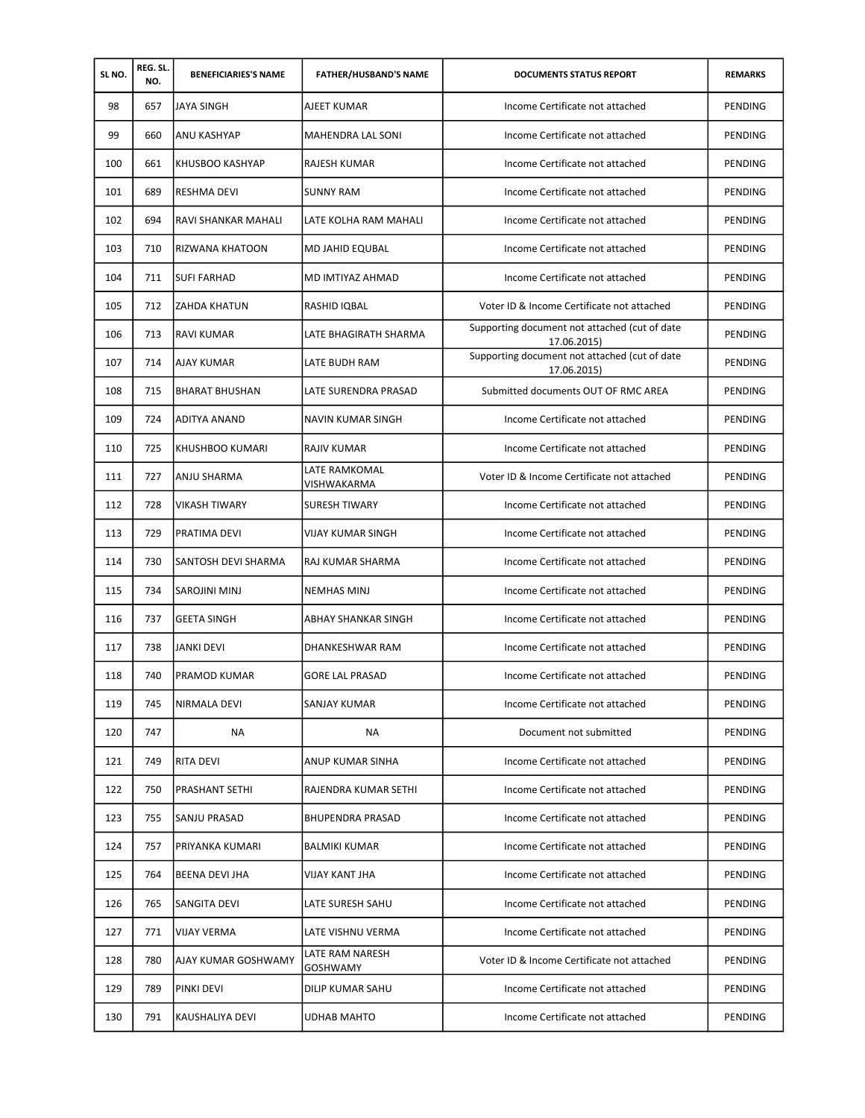| SL NO. | REG. SL.<br>NO. | <b>BENEFICIARIES'S NAME</b> | <b>FATHER/HUSBAND'S NAME</b> | <b>DOCUMENTS STATUS REPORT</b>                               | <b>REMARKS</b> |
|--------|-----------------|-----------------------------|------------------------------|--------------------------------------------------------------|----------------|
| 98     | 657             | <b>JAYA SINGH</b>           | AJEET KUMAR                  | Income Certificate not attached                              | PENDING        |
| 99     | 660             | ANU KASHYAP                 | MAHENDRA LAL SONI            | Income Certificate not attached                              | PENDING        |
| 100    | 661             | KHUSBOO KASHYAP             | RAJESH KUMAR                 | Income Certificate not attached                              | <b>PENDING</b> |
| 101    | 689             | <b>RESHMA DEVI</b>          | <b>SUNNY RAM</b>             | Income Certificate not attached                              | PENDING        |
| 102    | 694             | RAVI SHANKAR MAHALI         | LATE KOLHA RAM MAHALI        | Income Certificate not attached                              | PENDING        |
| 103    | 710             | RIZWANA KHATOON             | <b>MD JAHID EQUBAL</b>       | Income Certificate not attached                              | PENDING        |
| 104    | 711             | <b>SUFI FARHAD</b>          | MD IMTIYAZ AHMAD             | Income Certificate not attached                              | PENDING        |
| 105    | 712             | ZAHDA KHATUN                | RASHID IQBAL                 | Voter ID & Income Certificate not attached                   | PENDING        |
| 106    | 713             | <b>RAVI KUMAR</b>           | LATE BHAGIRATH SHARMA        | Supporting document not attached (cut of date<br>17.06.2015) | PENDING        |
| 107    | 714             | AJAY KUMAR                  | LATE BUDH RAM                | Supporting document not attached (cut of date<br>17.06.2015) | PENDING        |
| 108    | 715             | <b>BHARAT BHUSHAN</b>       | LATE SURENDRA PRASAD         | Submitted documents OUT OF RMC AREA                          | PENDING        |
| 109    | 724             | <b>ADITYA ANAND</b>         | NAVIN KUMAR SINGH            | Income Certificate not attached                              | PENDING        |
| 110    | 725             | KHUSHBOO KUMARI             | <b>RAJIV KUMAR</b>           | Income Certificate not attached                              | PENDING        |
| 111    | 727             | ANJU SHARMA                 | LATE RAMKOMAL<br>VISHWAKARMA | Voter ID & Income Certificate not attached                   | <b>PENDING</b> |
| 112    | 728             | <b>VIKASH TIWARY</b>        | <b>SURESH TIWARY</b>         | Income Certificate not attached                              | PENDING        |
| 113    | 729             | PRATIMA DEVI                | VIJAY KUMAR SINGH            | Income Certificate not attached                              | PENDING        |
| 114    | 730             | SANTOSH DEVI SHARMA         | RAJ KUMAR SHARMA             | Income Certificate not attached                              | <b>PENDING</b> |
| 115    | 734             | <b>SAROJINI MINJ</b>        | <b>NEMHAS MINJ</b>           | Income Certificate not attached                              | PENDING        |
| 116    | 737             | <b>GEETA SINGH</b>          | ABHAY SHANKAR SINGH          | Income Certificate not attached                              | PENDING        |
| 117    | 738             | <b>JANKI DEVI</b>           | DHANKESHWAR RAM              | Income Certificate not attached                              | PENDING        |
| 118    | 740             | PRAMOD KUMAR                | <b>GORE LAL PRASAD</b>       | Income Certificate not attached                              | PENDING        |
| 119    | 745             | NIRMALA DEVI                | SANJAY KUMAR                 | Income Certificate not attached                              | PENDING        |
| 120    | 747             | NA                          | NA                           | Document not submitted                                       | <b>PENDING</b> |
| 121    | 749             | <b>RITA DEVI</b>            | ANUP KUMAR SINHA             | Income Certificate not attached                              | PENDING        |
| 122    | 750             | PRASHANT SETHI              | RAJENDRA KUMAR SETHI         | Income Certificate not attached                              | PENDING        |
| 123    | 755             | SANJU PRASAD                | <b>BHUPENDRA PRASAD</b>      | Income Certificate not attached                              | PENDING        |
| 124    | 757             | PRIYANKA KUMARI             | <b>BALMIKI KUMAR</b>         | Income Certificate not attached                              | PENDING        |
| 125    | 764             | <b>BEENA DEVI JHA</b>       | VIJAY KANT JHA               | Income Certificate not attached                              | PENDING        |
| 126    | 765             | SANGITA DEVI                | LATE SURESH SAHU             | Income Certificate not attached                              | PENDING        |
| 127    | 771             | VIJAY VERMA                 | LATE VISHNU VERMA            | Income Certificate not attached                              | PENDING        |
| 128    | 780             | AJAY KUMAR GOSHWAMY         | LATE RAM NARESH<br>GOSHWAMY  | Voter ID & Income Certificate not attached                   | PENDING        |
| 129    | 789             | <b>PINKI DEVI</b>           | DILIP KUMAR SAHU             | Income Certificate not attached                              | PENDING        |
| 130    | 791             | KAUSHALIYA DEVI             | UDHAB MAHTO                  | Income Certificate not attached                              | PENDING        |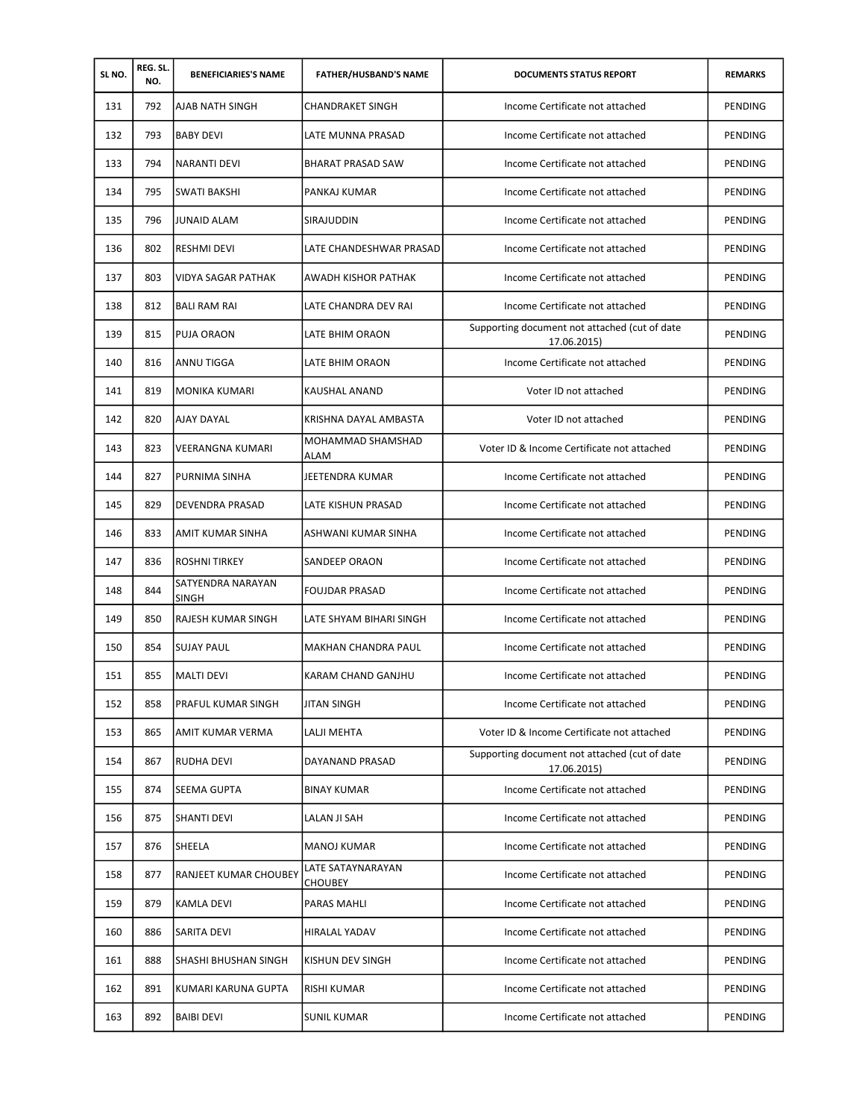| SL NO. | REG. SL.<br>NO. | <b>BENEFICIARIES'S NAME</b>       | <b>FATHER/HUSBAND'S NAME</b>        | <b>DOCUMENTS STATUS REPORT</b>                               | <b>REMARKS</b> |
|--------|-----------------|-----------------------------------|-------------------------------------|--------------------------------------------------------------|----------------|
| 131    | 792             | AJAB NATH SINGH                   | <b>CHANDRAKET SINGH</b>             | Income Certificate not attached                              | PENDING        |
| 132    | 793             | <b>BABY DEVI</b>                  | LATE MUNNA PRASAD                   | Income Certificate not attached                              | PENDING        |
| 133    | 794             | <b>NARANTI DEVI</b>               | BHARAT PRASAD SAW                   | Income Certificate not attached                              | PENDING        |
| 134    | 795             | <b>SWATI BAKSHI</b>               | PANKAJ KUMAR                        | Income Certificate not attached                              | PENDING        |
| 135    | 796             | JUNAID ALAM                       | SIRAJUDDIN                          | Income Certificate not attached                              | PENDING        |
| 136    | 802             | <b>RESHMI DEVI</b>                | LATE CHANDESHWAR PRASAD             | Income Certificate not attached                              | PENDING        |
| 137    | 803             | <b>VIDYA SAGAR PATHAK</b>         | AWADH KISHOR PATHAK                 | Income Certificate not attached                              | PENDING        |
| 138    | 812             | <b>BALI RAM RAI</b>               | LATE CHANDRA DEV RAI                | Income Certificate not attached                              | PENDING        |
| 139    | 815             | PUJA ORAON                        | LATE BHIM ORAON                     | Supporting document not attached (cut of date<br>17.06.2015) | PENDING        |
| 140    | 816             | ANNU TIGGA                        | LATE BHIM ORAON                     | Income Certificate not attached                              | <b>PENDING</b> |
| 141    | 819             | <b>MONIKA KUMARI</b>              | KAUSHAL ANAND                       | Voter ID not attached                                        | PENDING        |
| 142    | 820             | <b>AJAY DAYAL</b>                 | KRISHNA DAYAL AMBASTA               | Voter ID not attached                                        | PENDING        |
| 143    | 823             | <b>VEERANGNA KUMARI</b>           | MOHAMMAD SHAMSHAD<br>ALAM           | Voter ID & Income Certificate not attached                   | <b>PENDING</b> |
| 144    | 827             | PURNIMA SINHA                     | JEETENDRA KUMAR                     | Income Certificate not attached                              | PENDING        |
| 145    | 829             | <b>DEVENDRA PRASAD</b>            | LATE KISHUN PRASAD                  | Income Certificate not attached                              | PENDING        |
| 146    | 833             | AMIT KUMAR SINHA                  | ASHWANI KUMAR SINHA                 | Income Certificate not attached                              | PENDING        |
| 147    | 836             | <b>ROSHNI TIRKEY</b>              | SANDEEP ORAON                       | Income Certificate not attached                              | PENDING        |
| 148    | 844             | SATYENDRA NARAYAN<br><b>SINGH</b> | <b>FOUJDAR PRASAD</b>               | Income Certificate not attached                              | PENDING        |
| 149    | 850             | <b>RAJESH KUMAR SINGH</b>         | LATE SHYAM BIHARI SINGH             | Income Certificate not attached                              | PENDING        |
| 150    | 854             | <b>SUJAY PAUL</b>                 | MAKHAN CHANDRA PAUL                 | Income Certificate not attached                              | PENDING        |
| 151    | 855             | <b>MALTI DEVI</b>                 | KARAM CHAND GANJHU                  | Income Certificate not attached                              | PENDING        |
| 152    | 858             | PRAFUL KUMAR SINGH                | JITAN SINGH                         | Income Certificate not attached                              | PENDING        |
| 153    | 865             | AMIT KUMAR VERMA                  | LALJI MEHTA                         | Voter ID & Income Certificate not attached                   | PENDING        |
| 154    | 867             | <b>RUDHA DEVI</b>                 | DAYANAND PRASAD                     | Supporting document not attached (cut of date<br>17.06.2015) | PENDING        |
| 155    | 874             | <b>SEEMA GUPTA</b>                | <b>BINAY KUMAR</b>                  | Income Certificate not attached                              | PENDING        |
| 156    | 875             | <b>SHANTI DEVI</b>                | LALAN JI SAH                        | Income Certificate not attached                              | PENDING        |
| 157    | 876             | SHEELA                            | <b>MANOJ KUMAR</b>                  | Income Certificate not attached                              | PENDING        |
| 158    | 877             | RANJEET KUMAR CHOUBEY             | LATE SATAYNARAYAN<br><b>CHOUBEY</b> | Income Certificate not attached                              | PENDING        |
| 159    | 879             | <b>KAMLA DEVI</b>                 | PARAS MAHLI                         | Income Certificate not attached                              | PENDING        |
| 160    | 886             | SARITA DEVI                       | HIRALAL YADAV                       | Income Certificate not attached                              | PENDING        |
| 161    | 888             | SHASHI BHUSHAN SINGH              | KISHUN DEV SINGH                    | Income Certificate not attached                              | PENDING        |
| 162    | 891             | KUMARI KARUNA GUPTA               | RISHI KUMAR                         | Income Certificate not attached                              | PENDING        |
| 163    | 892             | <b>BAIBI DEVI</b>                 | SUNIL KUMAR                         | Income Certificate not attached                              | PENDING        |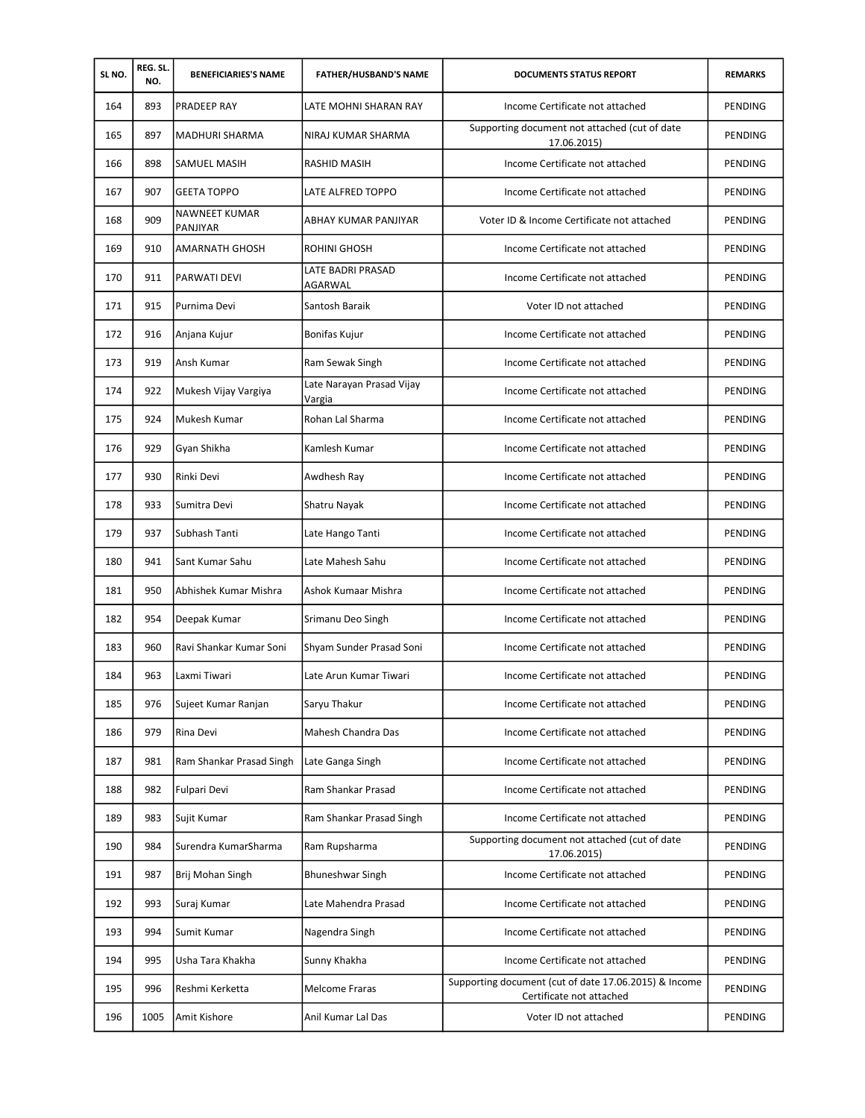| SL NO. | REG. SL.<br>NO. | <b>BENEFICIARIES'S NAME</b>      | <b>FATHER/HUSBAND'S NAME</b>        | <b>DOCUMENTS STATUS REPORT</b>                                                    | <b>REMARKS</b> |
|--------|-----------------|----------------------------------|-------------------------------------|-----------------------------------------------------------------------------------|----------------|
| 164    | 893             | <b>PRADEEP RAY</b>               | LATE MOHNI SHARAN RAY               | Income Certificate not attached                                                   | PENDING        |
| 165    | 897             | <b>MADHURI SHARMA</b>            | NIRAJ KUMAR SHARMA                  | Supporting document not attached (cut of date<br>17.06.2015)                      | PENDING        |
| 166    | 898             | SAMUEL MASIH                     | RASHID MASIH                        | Income Certificate not attached                                                   | PENDING        |
| 167    | 907             | <b>GEETA TOPPO</b>               | LATE ALFRED TOPPO                   | Income Certificate not attached                                                   | <b>PENDING</b> |
| 168    | 909             | <b>NAWNEET KUMAR</b><br>PANJIYAR | ABHAY KUMAR PANJIYAR                | Voter ID & Income Certificate not attached                                        | PENDING        |
| 169    | 910             | <b>AMARNATH GHOSH</b>            | ROHINI GHOSH                        | Income Certificate not attached                                                   | PENDING        |
| 170    | 911             | <b>PARWATI DEVI</b>              | LATE BADRI PRASAD<br>AGARWAL        | Income Certificate not attached                                                   | PENDING        |
| 171    | 915             | Purnima Devi                     | Santosh Baraik                      | Voter ID not attached                                                             | PENDING        |
| 172    | 916             | Anjana Kujur                     | Bonifas Kujur                       | Income Certificate not attached                                                   | PENDING        |
| 173    | 919             | Ansh Kumar                       | Ram Sewak Singh                     | Income Certificate not attached                                                   | PENDING        |
| 174    | 922             | Mukesh Vijay Vargiya             | Late Narayan Prasad Vijay<br>Vargia | Income Certificate not attached                                                   | PENDING        |
| 175    | 924             | Mukesh Kumar                     | Rohan Lal Sharma                    | Income Certificate not attached                                                   | PENDING        |
| 176    | 929             | Gyan Shikha                      | Kamlesh Kumar                       | Income Certificate not attached                                                   | PENDING        |
| 177    | 930             | Rinki Devi                       | Awdhesh Ray                         | Income Certificate not attached                                                   | <b>PENDING</b> |
| 178    | 933             | Sumitra Devi                     | Shatru Nayak                        | Income Certificate not attached                                                   | PENDING        |
| 179    | 937             | Subhash Tanti                    | Late Hango Tanti                    | Income Certificate not attached                                                   | PENDING        |
| 180    | 941             | Sant Kumar Sahu                  | Late Mahesh Sahu                    | Income Certificate not attached                                                   | PENDING        |
| 181    | 950             | Abhishek Kumar Mishra            | Ashok Kumaar Mishra                 | Income Certificate not attached                                                   | <b>PENDING</b> |
| 182    | 954             | Deepak Kumar                     | Srimanu Deo Singh                   | Income Certificate not attached                                                   | PENDING        |
| 183    | 960             | Ravi Shankar Kumar Soni          | Shyam Sunder Prasad Soni            | Income Certificate not attached                                                   | PENDING        |
| 184    | 963             | Laxmi Tiwari                     | Late Arun Kumar Tiwari              | Income Certificate not attached                                                   | PENDING        |
| 185    | 976             | Sujeet Kumar Ranjan              | Saryu Thakur                        | Income Certificate not attached                                                   | PENDING        |
| 186    | 979             | Rina Devi                        | Mahesh Chandra Das                  | Income Certificate not attached                                                   | PENDING        |
| 187    | 981             | Ram Shankar Prasad Singh         | Late Ganga Singh                    | Income Certificate not attached                                                   | PENDING        |
| 188    | 982             | Fulpari Devi                     | Ram Shankar Prasad                  | Income Certificate not attached                                                   | PENDING        |
| 189    | 983             | Sujit Kumar                      | Ram Shankar Prasad Singh            | Income Certificate not attached                                                   | PENDING        |
| 190    | 984             | Surendra KumarSharma             | Ram Rupsharma                       | Supporting document not attached (cut of date<br>17.06.2015)                      | PENDING        |
| 191    | 987             | Brij Mohan Singh                 | <b>Bhuneshwar Singh</b>             | Income Certificate not attached                                                   | PENDING        |
| 192    | 993             | Suraj Kumar                      | Late Mahendra Prasad                | Income Certificate not attached                                                   | PENDING        |
| 193    | 994             | Sumit Kumar                      | Nagendra Singh                      | Income Certificate not attached                                                   | PENDING        |
| 194    | 995             | Usha Tara Khakha                 | Sunny Khakha                        | Income Certificate not attached                                                   | PENDING        |
| 195    | 996             | Reshmi Kerketta                  | <b>Melcome Fraras</b>               | Supporting document (cut of date 17.06.2015) & Income<br>Certificate not attached | PENDING        |
| 196    | 1005            | Amit Kishore                     | Anil Kumar Lal Das                  | Voter ID not attached                                                             | PENDING        |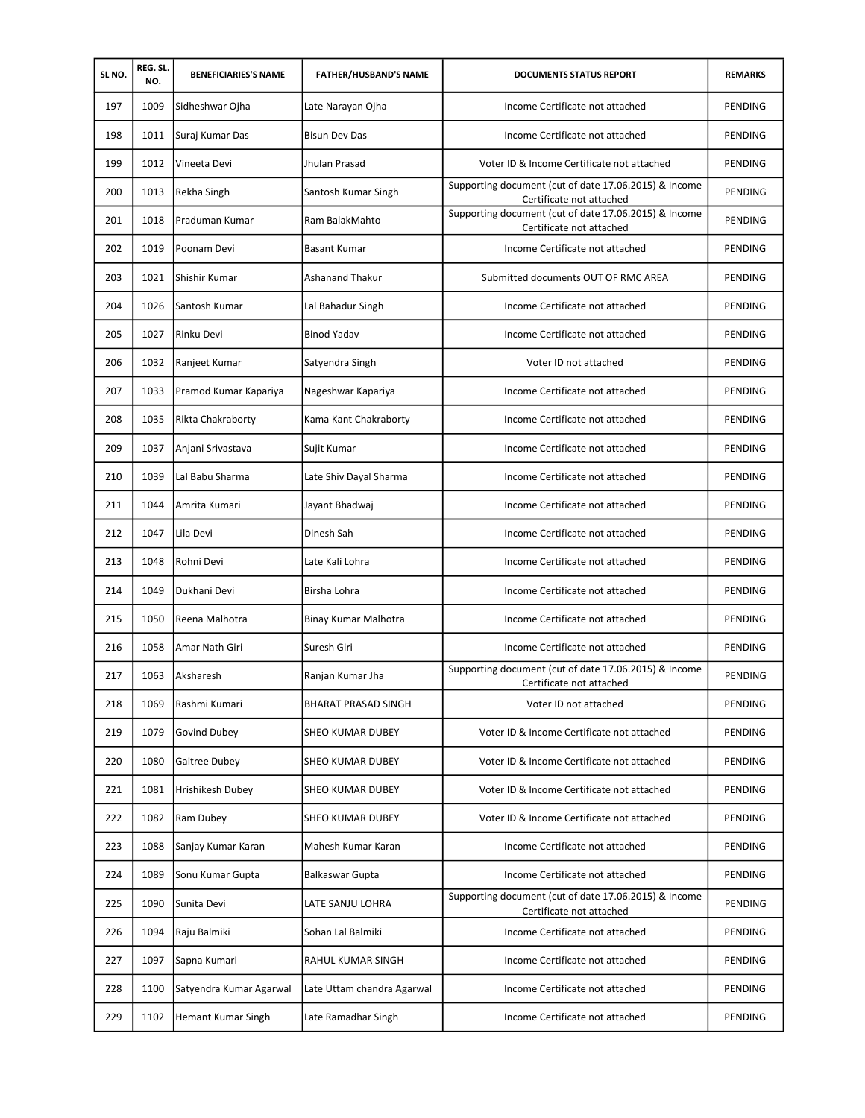| SL NO. | REG. SL.<br>NO. | <b>BENEFICIARIES'S NAME</b> | <b>FATHER/HUSBAND'S NAME</b> | <b>DOCUMENTS STATUS REPORT</b>                                                    | <b>REMARKS</b> |
|--------|-----------------|-----------------------------|------------------------------|-----------------------------------------------------------------------------------|----------------|
| 197    | 1009            | Sidheshwar Ojha             | Late Narayan Ojha            | Income Certificate not attached                                                   | PENDING        |
| 198    | 1011            | Suraj Kumar Das             | <b>Bisun Dev Das</b>         | Income Certificate not attached                                                   | <b>PENDING</b> |
| 199    | 1012            | Vineeta Devi                | Jhulan Prasad                | Voter ID & Income Certificate not attached                                        | PENDING        |
| 200    | 1013            | Rekha Singh                 | Santosh Kumar Singh          | Supporting document (cut of date 17.06.2015) & Income<br>Certificate not attached | PENDING        |
| 201    | 1018            | Praduman Kumar              | Ram BalakMahto               | Supporting document (cut of date 17.06.2015) & Income<br>Certificate not attached | PENDING        |
| 202    | 1019            | Poonam Devi                 | <b>Basant Kumar</b>          | Income Certificate not attached                                                   | <b>PENDING</b> |
| 203    | 1021            | Shishir Kumar               | Ashanand Thakur              | Submitted documents OUT OF RMC AREA                                               | PENDING        |
| 204    | 1026            | Santosh Kumar               | Lal Bahadur Singh            | Income Certificate not attached                                                   | PENDING        |
| 205    | 1027            | Rinku Devi                  | <b>Binod Yadav</b>           | Income Certificate not attached                                                   | PENDING        |
| 206    | 1032            | Ranjeet Kumar               | Satyendra Singh              | Voter ID not attached                                                             | <b>PENDING</b> |
| 207    | 1033            | Pramod Kumar Kapariya       | Nageshwar Kapariya           | Income Certificate not attached                                                   | PENDING        |
| 208    | 1035            | Rikta Chakraborty           | Kama Kant Chakraborty        | Income Certificate not attached                                                   | PENDING        |
| 209    | 1037            | Anjani Srivastava           | Sujit Kumar                  | Income Certificate not attached                                                   | PENDING        |
| 210    | 1039            | Lal Babu Sharma             | Late Shiv Dayal Sharma       | Income Certificate not attached                                                   | PENDING        |
| 211    | 1044            | Amrita Kumari               | Jayant Bhadwaj               | Income Certificate not attached                                                   | PENDING        |
| 212    | 1047            | Lila Devi                   | Dinesh Sah                   | Income Certificate not attached                                                   | PENDING        |
| 213    | 1048            | Rohni Devi                  | Late Kali Lohra              | Income Certificate not attached                                                   | PENDING        |
| 214    | 1049            | Dukhani Devi                | Birsha Lohra                 | Income Certificate not attached                                                   | PENDING        |
| 215    | 1050            | Reena Malhotra              | Binay Kumar Malhotra         | Income Certificate not attached                                                   | <b>PENDING</b> |
| 216    | 1058            | Amar Nath Giri              | Suresh Giri                  | Income Certificate not attached                                                   | <b>PENDING</b> |
| 217    | 1063            | Aksharesh                   | Ranjan Kumar Jha             | Supporting document (cut of date 17.06.2015) & Income<br>Certificate not attached | <b>PENDING</b> |
| 218    | 1069            | Rashmi Kumari               | <b>BHARAT PRASAD SINGH</b>   | Voter ID not attached                                                             | PENDING        |
| 219    | 1079            | Govind Dubey                | SHEO KUMAR DUBEY             | Voter ID & Income Certificate not attached                                        | PENDING        |
| 220    | 1080            | Gaitree Dubey               | SHEO KUMAR DUBEY             | Voter ID & Income Certificate not attached                                        | PENDING        |
| 221    | 1081            | Hrishikesh Dubey            | SHEO KUMAR DUBEY             | Voter ID & Income Certificate not attached                                        | PENDING        |
| 222    | 1082            | Ram Dubey                   | SHEO KUMAR DUBEY             | Voter ID & Income Certificate not attached                                        | PENDING        |
| 223    | 1088            | Sanjay Kumar Karan          | Mahesh Kumar Karan           | Income Certificate not attached                                                   | <b>PENDING</b> |
| 224    | 1089            | Sonu Kumar Gupta            | Balkaswar Gupta              | Income Certificate not attached                                                   | PENDING        |
| 225    | 1090            | Sunita Devi                 | LATE SANJU LOHRA             | Supporting document (cut of date 17.06.2015) & Income<br>Certificate not attached | PENDING        |
| 226    | 1094            | Raju Balmiki                | Sohan Lal Balmiki            | Income Certificate not attached                                                   | PENDING        |
| 227    | 1097            | Sapna Kumari                | RAHUL KUMAR SINGH            | Income Certificate not attached                                                   | PENDING        |
| 228    | 1100            | Satyendra Kumar Agarwal     | Late Uttam chandra Agarwal   | Income Certificate not attached                                                   | PENDING        |
| 229    | 1102            | Hemant Kumar Singh          | Late Ramadhar Singh          | Income Certificate not attached                                                   | PENDING        |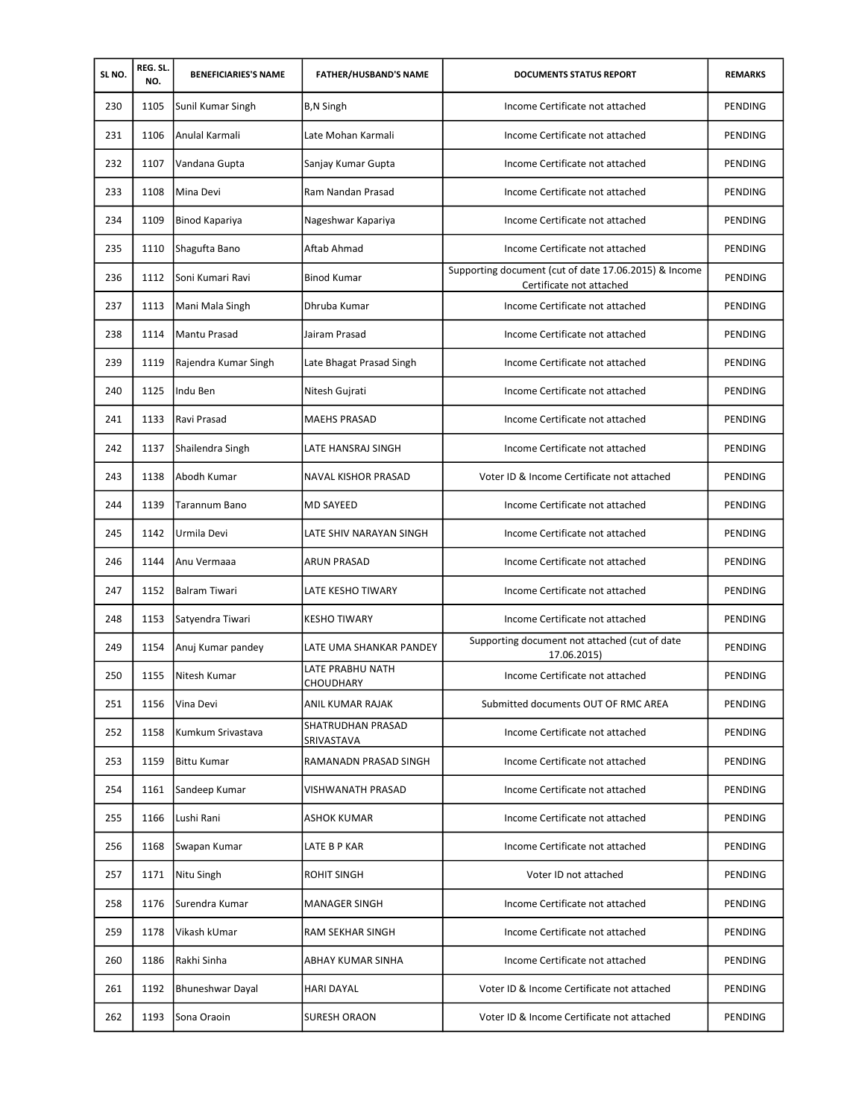| SL NO. | REG. SL.<br>NO. | <b>BENEFICIARIES'S NAME</b> | <b>FATHER/HUSBAND'S NAME</b>         | <b>DOCUMENTS STATUS REPORT</b>                                                    | <b>REMARKS</b> |
|--------|-----------------|-----------------------------|--------------------------------------|-----------------------------------------------------------------------------------|----------------|
| 230    | 1105            | Sunil Kumar Singh           | <b>B,N Singh</b>                     | Income Certificate not attached                                                   | <b>PENDING</b> |
| 231    | 1106            | Anulal Karmali              | Late Mohan Karmali                   | Income Certificate not attached                                                   | PENDING        |
| 232    | 1107            | Vandana Gupta               | Sanjay Kumar Gupta                   | Income Certificate not attached                                                   | PENDING        |
| 233    | 1108            | Mina Devi                   | Ram Nandan Prasad                    | Income Certificate not attached                                                   | PENDING        |
| 234    | 1109            | Binod Kapariya              | Nageshwar Kapariya                   | Income Certificate not attached                                                   | PENDING        |
| 235    | 1110            | Shagufta Bano               | Aftab Ahmad                          | Income Certificate not attached                                                   | PENDING        |
| 236    | 1112            | Soni Kumari Ravi            | <b>Binod Kumar</b>                   | Supporting document (cut of date 17.06.2015) & Income<br>Certificate not attached | PENDING        |
| 237    | 1113            | Mani Mala Singh             | Dhruba Kumar                         | Income Certificate not attached                                                   | PENDING        |
| 238    | 1114            | Mantu Prasad                | Jairam Prasad                        | Income Certificate not attached                                                   | <b>PENDING</b> |
| 239    | 1119            | Rajendra Kumar Singh        | Late Bhagat Prasad Singh             | Income Certificate not attached                                                   | PENDING        |
| 240    | 1125            | Indu Ben                    | Nitesh Gujrati                       | Income Certificate not attached                                                   | PENDING        |
| 241    | 1133            | Ravi Prasad                 | <b>MAEHS PRASAD</b>                  | Income Certificate not attached                                                   | PENDING        |
| 242    | 1137            | Shailendra Singh            | LATE HANSRAJ SINGH                   | Income Certificate not attached                                                   | PENDING        |
| 243    | 1138            | Abodh Kumar                 | NAVAL KISHOR PRASAD                  | Voter ID & Income Certificate not attached                                        | PENDING        |
| 244    | 1139            | Tarannum Bano               | <b>MD SAYEED</b>                     | Income Certificate not attached                                                   | PENDING        |
| 245    | 1142            | Urmila Devi                 | LATE SHIV NARAYAN SINGH              | Income Certificate not attached                                                   | PENDING        |
| 246    | 1144            | Anu Vermaaa                 | ARUN PRASAD                          | Income Certificate not attached                                                   | PENDING        |
| 247    | 1152            | <b>Balram Tiwari</b>        | LATE KESHO TIWARY                    | Income Certificate not attached                                                   | PENDING        |
| 248    | 1153            | Satyendra Tiwari            | <b>KESHO TIWARY</b>                  | Income Certificate not attached                                                   | PENDING        |
| 249    | 1154            | Anuj Kumar pandey           | LATE UMA SHANKAR PANDEY              | Supporting document not attached (cut of date<br>17.06.2015)                      | <b>PENDING</b> |
| 250    | 1155            | Nitesh Kumar                | LATE PRABHU NATH<br><b>CHOUDHARY</b> | Income Certificate not attached                                                   | PENDING        |
| 251    | 1156            | Vina Devi                   | ANIL KUMAR RAJAK                     | Submitted documents OUT OF RMC AREA                                               | PENDING        |
| 252    | 1158            | Kumkum Srivastava           | SHATRUDHAN PRASAD<br>SRIVASTAVA      | Income Certificate not attached                                                   | PENDING        |
| 253    | 1159            | <b>Bittu Kumar</b>          | RAMANADN PRASAD SINGH                | Income Certificate not attached                                                   | PENDING        |
| 254    | 1161            | Sandeep Kumar               | <b>VISHWANATH PRASAD</b>             | Income Certificate not attached                                                   | PENDING        |
| 255    | 1166            | Lushi Rani                  | ASHOK KUMAR                          | Income Certificate not attached                                                   | PENDING        |
| 256    | 1168            | Swapan Kumar                | LATE B P KAR                         | Income Certificate not attached                                                   | PENDING        |
| 257    | 1171            | Nitu Singh                  | ROHIT SINGH                          | Voter ID not attached                                                             | PENDING        |
| 258    | 1176            | Surendra Kumar              | <b>MANAGER SINGH</b>                 | Income Certificate not attached                                                   | PENDING        |
| 259    | 1178            | Vikash kUmar                | RAM SEKHAR SINGH                     | Income Certificate not attached                                                   | PENDING        |
| 260    | 1186            | Rakhi Sinha                 | ABHAY KUMAR SINHA                    | Income Certificate not attached                                                   | PENDING        |
| 261    | 1192            | <b>Bhuneshwar Dayal</b>     | <b>HARI DAYAL</b>                    | Voter ID & Income Certificate not attached                                        | PENDING        |
| 262    | 1193            | Sona Oraoin                 | <b>SURESH ORAON</b>                  | Voter ID & Income Certificate not attached                                        | PENDING        |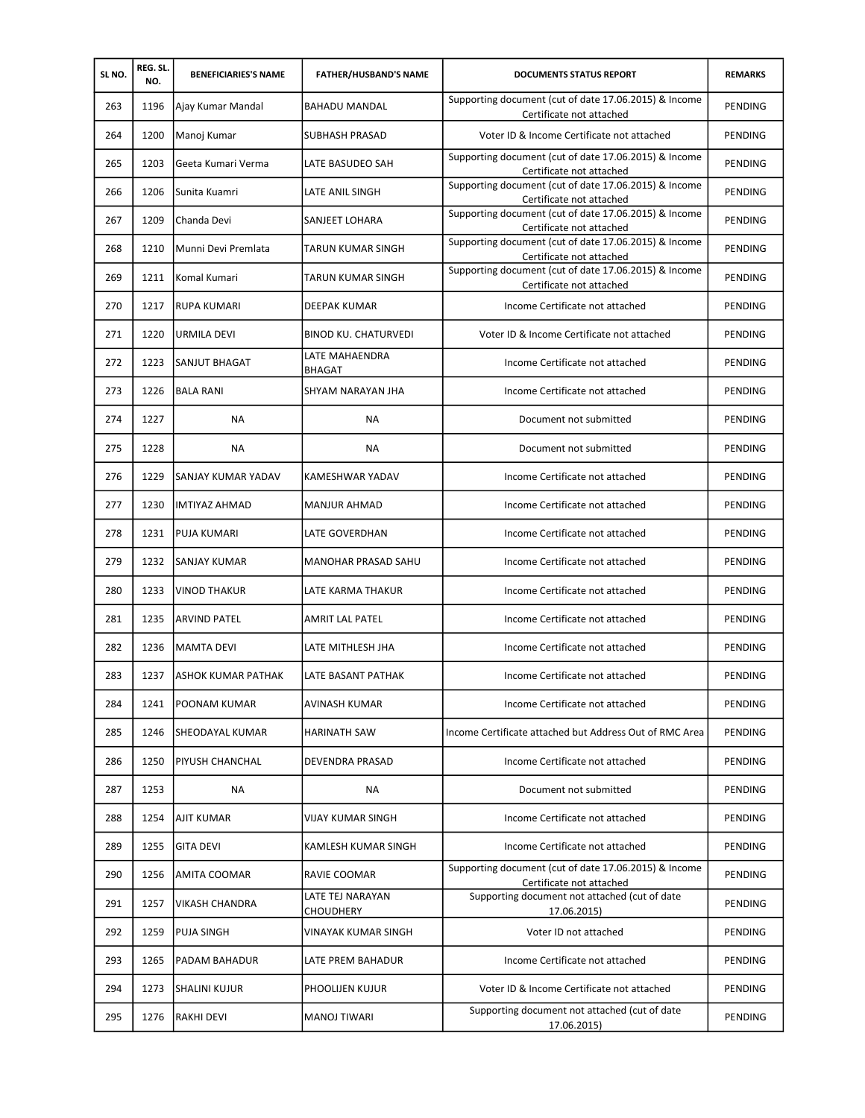| SL NO. | REG. SL.<br>NO. | <b>BENEFICIARIES'S NAME</b> | <b>FATHER/HUSBAND'S NAME</b>  | <b>DOCUMENTS STATUS REPORT</b>                                                    | <b>REMARKS</b> |
|--------|-----------------|-----------------------------|-------------------------------|-----------------------------------------------------------------------------------|----------------|
| 263    | 1196            | Ajay Kumar Mandal           | <b>BAHADU MANDAL</b>          | Supporting document (cut of date 17.06.2015) & Income<br>Certificate not attached | PENDING        |
| 264    | 1200            | Manoj Kumar                 | SUBHASH PRASAD                | Voter ID & Income Certificate not attached                                        | PENDING        |
| 265    | 1203            | Geeta Kumari Verma          | LATE BASUDEO SAH              | Supporting document (cut of date 17.06.2015) & Income<br>Certificate not attached | PENDING        |
| 266    | 1206            | Sunita Kuamri               | LATE ANIL SINGH               | Supporting document (cut of date 17.06.2015) & Income<br>Certificate not attached | PENDING        |
| 267    | 1209            | Chanda Devi                 | SANJEET LOHARA                | Supporting document (cut of date 17.06.2015) & Income<br>Certificate not attached | PENDING        |
| 268    | 1210            | Munni Devi Premlata         | TARUN KUMAR SINGH             | Supporting document (cut of date 17.06.2015) & Income<br>Certificate not attached | <b>PENDING</b> |
| 269    | 1211            | Komal Kumari                | TARUN KUMAR SINGH             | Supporting document (cut of date 17.06.2015) & Income<br>Certificate not attached | PENDING        |
| 270    | 1217            | <b>RUPA KUMARI</b>          | DEEPAK KUMAR                  | Income Certificate not attached                                                   | PENDING        |
| 271    | 1220            | <b>URMILA DEVI</b>          | <b>BINOD KU, CHATURVEDI</b>   | Voter ID & Income Certificate not attached                                        | PENDING        |
| 272    | 1223            | SANJUT BHAGAT               | LATE MAHAENDRA<br>BHAGAT      | Income Certificate not attached                                                   | PENDING        |
| 273    | 1226            | <b>BALA RANI</b>            | SHYAM NARAYAN JHA             | Income Certificate not attached                                                   | <b>PENDING</b> |
| 274    | 1227            | NA                          | NA                            | Document not submitted                                                            | PENDING        |
| 275    | 1228            | <b>NA</b>                   | NA                            | Document not submitted                                                            | PENDING        |
| 276    | 1229            | SANJAY KUMAR YADAV          | KAMESHWAR YADAV               | Income Certificate not attached                                                   | <b>PENDING</b> |
| 277    | 1230            | <b>IMTIYAZ AHMAD</b>        | <b>MANJUR AHMAD</b>           | Income Certificate not attached                                                   | PENDING        |
| 278    | 1231            | <b>PUJA KUMARI</b>          | LATE GOVERDHAN                | Income Certificate not attached                                                   | PENDING        |
| 279    | 1232            | <b>SANJAY KUMAR</b>         | <b>MANOHAR PRASAD SAHU</b>    | Income Certificate not attached                                                   | PENDING        |
| 280    | 1233            | <b>VINOD THAKUR</b>         | LATE KARMA THAKUR             | Income Certificate not attached                                                   | <b>PENDING</b> |
| 281    | 1235            | <b>ARVIND PATEL</b>         | AMRIT LAL PATEL               | Income Certificate not attached                                                   | PENDING        |
| 282    | 1236            | <b>MAMTA DEVI</b>           | LATE MITHLESH JHA             | Income Certificate not attached                                                   | PENDING        |
| 283    | 1237            | <b>ASHOK KUMAR PATHAK</b>   | LATE BASANT PATHAK            | Income Certificate not attached                                                   | PENDING        |
| 284    | 1241            | <b>POONAM KUMAR</b>         | AVINASH KUMAR                 | Income Certificate not attached                                                   | <b>PENDING</b> |
| 285    | 1246            | SHEODAYAL KUMAR             | <b>HARINATH SAW</b>           | Income Certificate attached but Address Out of RMC Area                           | PENDING        |
| 286    | 1250            | <b>PIYUSH CHANCHAL</b>      | DEVENDRA PRASAD               | Income Certificate not attached                                                   | PENDING        |
| 287    | 1253            | NA                          | ΝA                            | Document not submitted                                                            | PENDING        |
| 288    | 1254            | AJIT KUMAR                  | VIJAY KUMAR SINGH             | Income Certificate not attached                                                   | PENDING        |
| 289    | 1255            | <b>GITA DEVI</b>            | KAMLESH KUMAR SINGH           | Income Certificate not attached                                                   | PENDING        |
| 290    | 1256            | AMITA COOMAR                | RAVIE COOMAR                  | Supporting document (cut of date 17.06.2015) & Income<br>Certificate not attached | PENDING        |
| 291    | 1257            | <b>VIKASH CHANDRA</b>       | LATE TEJ NARAYAN<br>CHOUDHERY | Supporting document not attached (cut of date<br>17.06.2015)                      | PENDING        |
| 292    | 1259            | <b>PUJA SINGH</b>           | VINAYAK KUMAR SINGH           | Voter ID not attached                                                             | PENDING        |
| 293    | 1265            | PADAM BAHADUR               | LATE PREM BAHADUR             | Income Certificate not attached                                                   | PENDING        |
| 294    | 1273            | <b>SHALINI KUJUR</b>        | PHOOLIJEN KUJUR               | Voter ID & Income Certificate not attached                                        | PENDING        |
| 295    | 1276            | <b>RAKHI DEVI</b>           | MANOJ TIWARI                  | Supporting document not attached (cut of date<br>17.06.2015)                      | PENDING        |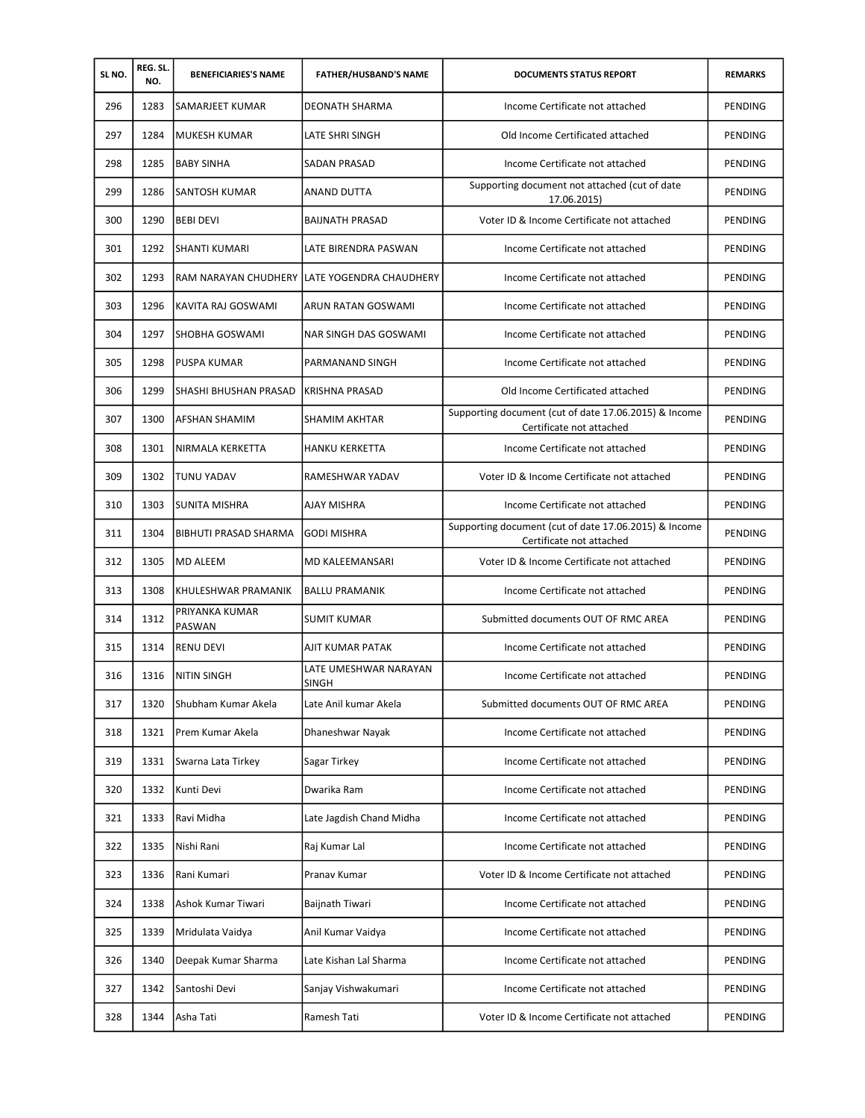| SL NO. | REG. SL.<br>NO. | <b>BENEFICIARIES'S NAME</b> | <b>FATHER/HUSBAND'S NAME</b>          | <b>DOCUMENTS STATUS REPORT</b>                                                    | <b>REMARKS</b> |
|--------|-----------------|-----------------------------|---------------------------------------|-----------------------------------------------------------------------------------|----------------|
| 296    | 1283            | SAMARJEET KUMAR             | DEONATH SHARMA                        | Income Certificate not attached                                                   | PENDING        |
| 297    | 1284            | MUKESH KUMAR                | LATE SHRI SINGH                       | Old Income Certificated attached                                                  | <b>PENDING</b> |
| 298    | 1285            | <b>BABY SINHA</b>           | <b>SADAN PRASAD</b>                   | Income Certificate not attached                                                   | PENDING        |
| 299    | 1286            | SANTOSH KUMAR               | <b>ANAND DUTTA</b>                    | Supporting document not attached (cut of date<br>17.06.2015)                      | <b>PENDING</b> |
| 300    | 1290            | BEBI DEVI                   | <b>BAIJNATH PRASAD</b>                | Voter ID & Income Certificate not attached                                        | PENDING        |
| 301    | 1292            | SHANTI KUMARI               | LATE BIRENDRA PASWAN                  | Income Certificate not attached                                                   | PENDING        |
| 302    | 1293            | RAM NARAYAN CHUDHERY        | LATE YOGENDRA CHAUDHERY               | Income Certificate not attached                                                   | PENDING        |
| 303    | 1296            | KAVITA RAJ GOSWAMI          | ARUN RATAN GOSWAMI                    | Income Certificate not attached                                                   | PENDING        |
| 304    | 1297            | SHOBHA GOSWAMI              | NAR SINGH DAS GOSWAMI                 | Income Certificate not attached                                                   | PENDING        |
| 305    | 1298            | PUSPA KUMAR                 | PARMANAND SINGH                       | Income Certificate not attached                                                   | PENDING        |
| 306    | 1299            | SHASHI BHUSHAN PRASAD       | <b>KRISHNA PRASAD</b>                 | Old Income Certificated attached                                                  | <b>PENDING</b> |
| 307    | 1300            | AFSHAN SHAMIM               | <b>SHAMIM AKHTAR</b>                  | Supporting document (cut of date 17.06.2015) & Income<br>Certificate not attached | PENDING        |
| 308    | 1301            | NIRMALA KERKETTA            | <b>HANKU KERKETTA</b>                 | Income Certificate not attached                                                   | PENDING        |
| 309    | 1302            | <b>TUNU YADAV</b>           | RAMESHWAR YADAV                       | Voter ID & Income Certificate not attached                                        | <b>PENDING</b> |
| 310    | 1303            | SUNITA MISHRA               | AJAY MISHRA                           | Income Certificate not attached                                                   | PENDING        |
| 311    | 1304            | BIBHUTI PRASAD SHARMA       | <b>GODI MISHRA</b>                    | Supporting document (cut of date 17.06.2015) & Income<br>Certificate not attached | PENDING        |
| 312    | 1305            | MD ALEEM                    | MD KALEEMANSARI                       | Voter ID & Income Certificate not attached                                        | PENDING        |
| 313    | 1308            | KHULESHWAR PRAMANIK         | <b>BALLU PRAMANIK</b>                 | Income Certificate not attached                                                   | <b>PENDING</b> |
| 314    | 1312            | PRIYANKA KUMAR<br>PASWAN    | <b>SUMIT KUMAR</b>                    | Submitted documents OUT OF RMC AREA                                               | PENDING        |
| 315    | 1314            | <b>RENU DEVI</b>            | AJIT KUMAR PATAK                      | Income Certificate not attached                                                   | PENDING        |
| 316    | 1316            | NITIN SINGH                 | LATE UMESHWAR NARAYAN<br><b>SINGH</b> | Income Certificate not attached                                                   | PENDING        |
| 317    | 1320            | Shubham Kumar Akela         | Late Anil kumar Akela                 | Submitted documents OUT OF RMC AREA                                               | PENDING        |
| 318    | 1321            | Prem Kumar Akela            | Dhaneshwar Nayak                      | Income Certificate not attached                                                   | PENDING        |
| 319    | 1331            | Swarna Lata Tirkey          | Sagar Tirkey                          | Income Certificate not attached                                                   | PENDING        |
| 320    | 1332            | Kunti Devi                  | Dwarika Ram                           | Income Certificate not attached                                                   | PENDING        |
| 321    | 1333            | Ravi Midha                  | Late Jagdish Chand Midha              | Income Certificate not attached                                                   | PENDING        |
| 322    | 1335            | Nishi Rani                  | Raj Kumar Lal                         | Income Certificate not attached                                                   | PENDING        |
| 323    | 1336            | Rani Kumari                 | Pranav Kumar                          | Voter ID & Income Certificate not attached                                        | PENDING        |
| 324    | 1338            | Ashok Kumar Tiwari          | Baijnath Tiwari                       | Income Certificate not attached                                                   | PENDING        |
| 325    | 1339            | Mridulata Vaidya            | Anil Kumar Vaidya                     | Income Certificate not attached                                                   | PENDING        |
| 326    | 1340            | Deepak Kumar Sharma         | Late Kishan Lal Sharma                | Income Certificate not attached                                                   | PENDING        |
| 327    | 1342            | Santoshi Devi               | Sanjay Vishwakumari                   | Income Certificate not attached                                                   | PENDING        |
| 328    | 1344            | Asha Tati                   | Ramesh Tati                           | Voter ID & Income Certificate not attached                                        | PENDING        |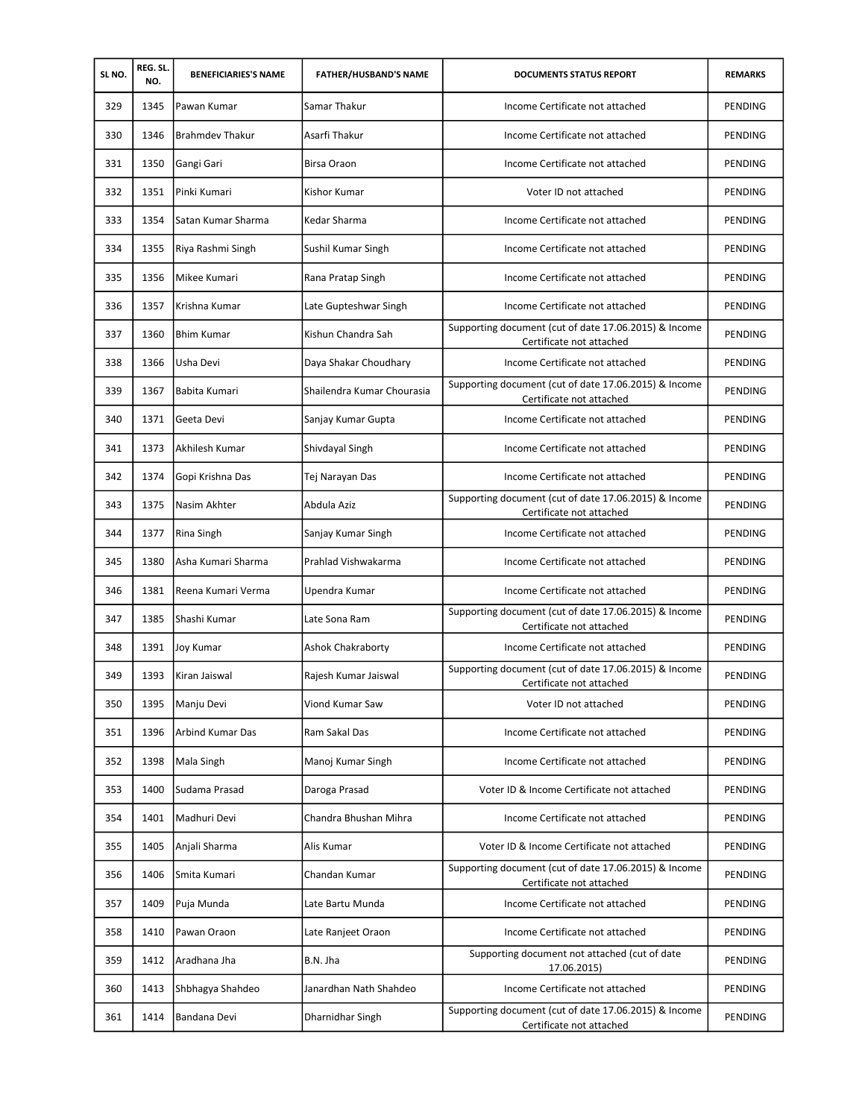| SL NO. | REG. SL.<br>NO. | <b>BENEFICIARIES'S NAME</b> | <b>FATHER/HUSBAND'S NAME</b> | <b>DOCUMENTS STATUS REPORT</b>                                                    | <b>REMARKS</b> |
|--------|-----------------|-----------------------------|------------------------------|-----------------------------------------------------------------------------------|----------------|
| 329    | 1345            | Pawan Kumar                 | Samar Thakur                 | Income Certificate not attached                                                   | PENDING        |
| 330    | 1346            | <b>Brahmdev Thakur</b>      | Asarfi Thakur                | Income Certificate not attached                                                   | PENDING        |
| 331    | 1350            | Gangi Gari                  | <b>Birsa Oraon</b>           | Income Certificate not attached                                                   | <b>PENDING</b> |
| 332    | 1351            | Pinki Kumari                | Kishor Kumar                 | Voter ID not attached                                                             | PENDING        |
| 333    | 1354            | Satan Kumar Sharma          | Kedar Sharma                 | Income Certificate not attached                                                   | PENDING        |
| 334    | 1355            | Riya Rashmi Singh           | Sushil Kumar Singh           | Income Certificate not attached                                                   | PENDING        |
| 335    | 1356            | Mikee Kumari                | Rana Pratap Singh            | Income Certificate not attached                                                   | PENDING        |
| 336    | 1357            | Krishna Kumar               | Late Gupteshwar Singh        | Income Certificate not attached                                                   | PENDING        |
| 337    | 1360            | <b>Bhim Kumar</b>           | Kishun Chandra Sah           | Supporting document (cut of date 17.06.2015) & Income<br>Certificate not attached | PENDING        |
| 338    | 1366            | Usha Devi                   | Daya Shakar Choudhary        | Income Certificate not attached                                                   | <b>PENDING</b> |
| 339    | 1367            | Babita Kumari               | Shailendra Kumar Chourasia   | Supporting document (cut of date 17.06.2015) & Income<br>Certificate not attached | PENDING        |
| 340    | 1371            | Geeta Devi                  | Sanjay Kumar Gupta           | Income Certificate not attached                                                   | PENDING        |
| 341    | 1373            | Akhilesh Kumar              | Shivdayal Singh              | Income Certificate not attached                                                   | PENDING        |
| 342    | 1374            | Gopi Krishna Das            | Tej Narayan Das              | Income Certificate not attached                                                   | <b>PENDING</b> |
| 343    | 1375            | Nasim Akhter                | Abdula Aziz                  | Supporting document (cut of date 17.06.2015) & Income<br>Certificate not attached | PENDING        |
| 344    | 1377            | Rina Singh                  | Sanjay Kumar Singh           | Income Certificate not attached                                                   | PENDING        |
| 345    | 1380            | Asha Kumari Sharma          | Prahlad Vishwakarma          | Income Certificate not attached                                                   | <b>PENDING</b> |
| 346    | 1381            | Reena Kumari Verma          | Upendra Kumar                | Income Certificate not attached                                                   | PENDING        |
| 347    | 1385            | Shashi Kumar                | Late Sona Ram                | Supporting document (cut of date 17.06.2015) & Income<br>Certificate not attached | PENDING        |
| 348    | 1391            | Joy Kumar                   | <b>Ashok Chakraborty</b>     | Income Certificate not attached                                                   | PENDING        |
| 349    | 1393            | Kiran Jaiswal               | Rajesh Kumar Jaiswal         | Supporting document (cut of date 17.06.2015) & Income<br>Certificate not attached | PENDING        |
| 350    | 1395            | Manju Devi                  | Viond Kumar Saw              | Voter ID not attached                                                             | PENDING        |
| 351    | 1396            | <b>Arbind Kumar Das</b>     | Ram Sakal Das                | Income Certificate not attached                                                   | PENDING        |
| 352    | 1398            | Mala Singh                  | Manoj Kumar Singh            | Income Certificate not attached                                                   | PENDING        |
| 353    | 1400            | Sudama Prasad               | Daroga Prasad                | Voter ID & Income Certificate not attached                                        | PENDING        |
| 354    | 1401            | Madhuri Devi                | Chandra Bhushan Mihra        | Income Certificate not attached                                                   | PENDING        |
| 355    | 1405            | Anjali Sharma               | Alis Kumar                   | Voter ID & Income Certificate not attached                                        | <b>PENDING</b> |
| 356    | 1406            | Smita Kumari                | Chandan Kumar                | Supporting document (cut of date 17.06.2015) & Income<br>Certificate not attached | PENDING        |
| 357    | 1409            | Puja Munda                  | Late Bartu Munda             | Income Certificate not attached                                                   | PENDING        |
| 358    | 1410            | Pawan Oraon                 | Late Ranjeet Oraon           | Income Certificate not attached                                                   | PENDING        |
| 359    | 1412            | Aradhana Jha                | B.N. Jha                     | Supporting document not attached (cut of date<br>17.06.2015)                      | PENDING        |
| 360    | 1413            | Shbhagya Shahdeo            | Janardhan Nath Shahdeo       | Income Certificate not attached                                                   | PENDING        |
| 361    | 1414            | Bandana Devi                | Dharnidhar Singh             | Supporting document (cut of date 17.06.2015) & Income<br>Certificate not attached | PENDING        |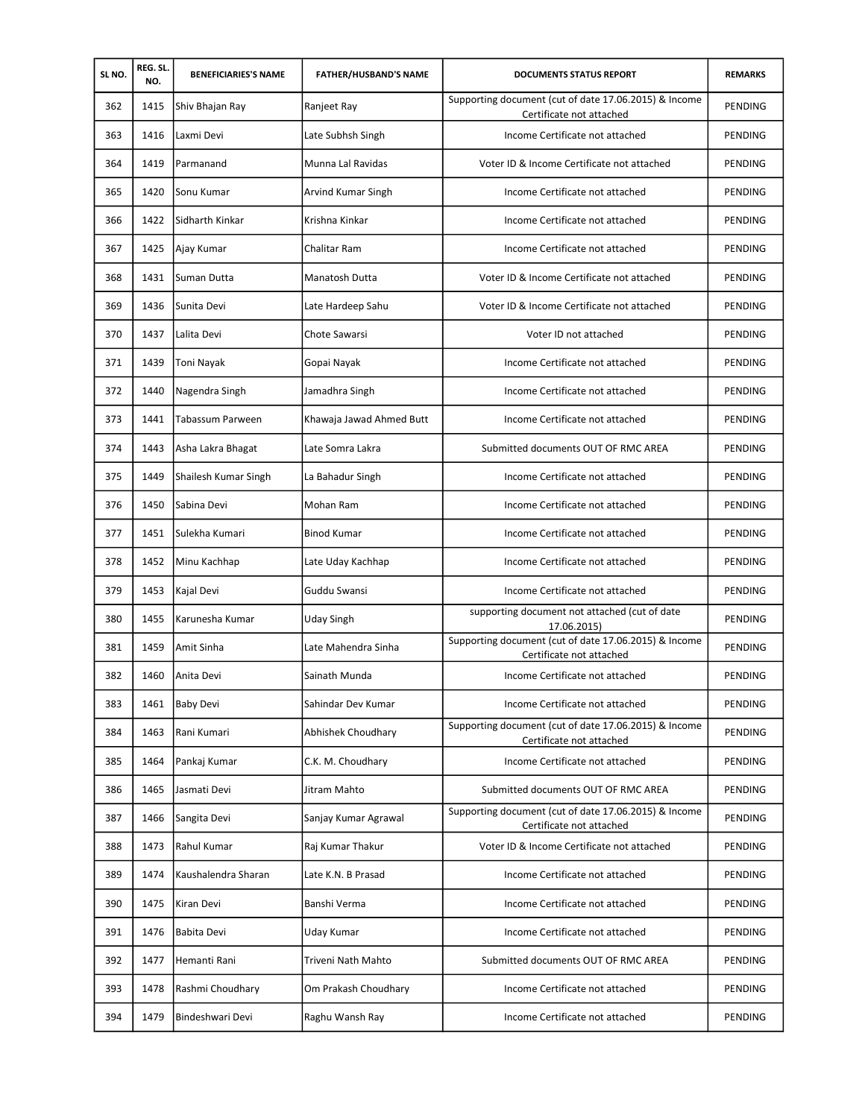| SL NO. | REG. SL.<br>NO. | <b>BENEFICIARIES'S NAME</b> | <b>FATHER/HUSBAND'S NAME</b> | <b>DOCUMENTS STATUS REPORT</b>                                                    | <b>REMARKS</b> |
|--------|-----------------|-----------------------------|------------------------------|-----------------------------------------------------------------------------------|----------------|
| 362    | 1415            | Shiv Bhajan Ray             | Ranjeet Ray                  | Supporting document (cut of date 17.06.2015) & Income<br>Certificate not attached | PENDING        |
| 363    | 1416            | Laxmi Devi                  | Late Subhsh Singh            | Income Certificate not attached                                                   | PENDING        |
| 364    | 1419            | Parmanand                   | Munna Lal Ravidas            | Voter ID & Income Certificate not attached                                        | PENDING        |
| 365    | 1420            | Sonu Kumar                  | Arvind Kumar Singh           | Income Certificate not attached                                                   | PENDING        |
| 366    | 1422            | Sidharth Kinkar             | Krishna Kinkar               | Income Certificate not attached                                                   | PENDING        |
| 367    | 1425            | Ajay Kumar                  | <b>Chalitar Ram</b>          | Income Certificate not attached                                                   | PENDING        |
| 368    | 1431            | Suman Dutta                 | Manatosh Dutta               | Voter ID & Income Certificate not attached                                        | PENDING        |
| 369    | 1436            | Sunita Devi                 | Late Hardeep Sahu            | Voter ID & Income Certificate not attached                                        | <b>PENDING</b> |
| 370    | 1437            | Lalita Devi                 | Chote Sawarsi                | Voter ID not attached                                                             | PENDING        |
| 371    | 1439            | Toni Nayak                  | Gopai Nayak                  | Income Certificate not attached                                                   | PENDING        |
| 372    | 1440            | Nagendra Singh              | Jamadhra Singh               | Income Certificate not attached                                                   | <b>PENDING</b> |
| 373    | 1441            | Tabassum Parween            | Khawaja Jawad Ahmed Butt     | Income Certificate not attached                                                   | <b>PENDING</b> |
| 374    | 1443            | Asha Lakra Bhagat           | Late Somra Lakra             | Submitted documents OUT OF RMC AREA                                               | PENDING        |
| 375    | 1449            | Shailesh Kumar Singh        | La Bahadur Singh             | Income Certificate not attached                                                   | PENDING        |
| 376    | 1450            | lSabina Devi                | Mohan Ram                    | Income Certificate not attached                                                   | PENDING        |
| 377    | 1451            | Sulekha Kumari              | <b>Binod Kumar</b>           | Income Certificate not attached                                                   | PENDING        |
| 378    | 1452            | Minu Kachhap                | Late Uday Kachhap            | Income Certificate not attached                                                   | PENDING        |
| 379    | 1453            | Kajal Devi                  | Guddu Swansi                 | Income Certificate not attached                                                   | PENDING        |
| 380    | 1455            | Karunesha Kumar             | Uday Singh                   | supporting document not attached (cut of date<br>17.06.2015)                      | <b>PENDING</b> |
| 381    | 1459            | Amit Sinha                  | Late Mahendra Sinha          | Supporting document (cut of date 17.06.2015) & Income<br>Certificate not attached | <b>PENDING</b> |
| 382    | 1460            | Anita Devi                  | Sainath Munda                | Income Certificate not attached                                                   | PENDING        |
| 383    | 1461            | <b>Baby Devi</b>            | Sahindar Dev Kumar           | Income Certificate not attached                                                   | PENDING        |
| 384    | 1463            | Rani Kumari                 | Abhishek Choudhary           | Supporting document (cut of date 17.06.2015) & Income<br>Certificate not attached | PENDING        |
| 385    | 1464            | Pankaj Kumar                | C.K. M. Choudhary            | Income Certificate not attached                                                   | PENDING        |
| 386    | 1465            | Jasmati Devi                | Jitram Mahto                 | Submitted documents OUT OF RMC AREA                                               | PENDING        |
| 387    | 1466            | Sangita Devi                | Sanjay Kumar Agrawal         | Supporting document (cut of date 17.06.2015) & Income<br>Certificate not attached | PENDING        |
| 388    | 1473            | Rahul Kumar                 | Raj Kumar Thakur             | Voter ID & Income Certificate not attached                                        | PENDING        |
| 389    | 1474            | Kaushalendra Sharan         | Late K.N. B Prasad           | Income Certificate not attached                                                   | PENDING        |
| 390    | 1475            | Kiran Devi                  | Banshi Verma                 | Income Certificate not attached                                                   | PENDING        |
| 391    | 1476            | Babita Devi                 | Uday Kumar                   | Income Certificate not attached                                                   | PENDING        |
| 392    | 1477            | Hemanti Rani                | Triveni Nath Mahto           | Submitted documents OUT OF RMC AREA                                               | PENDING        |
| 393    | 1478            | Rashmi Choudhary            | Om Prakash Choudhary         | Income Certificate not attached                                                   | PENDING        |
| 394    | 1479            | Bindeshwari Devi            | Raghu Wansh Ray              | Income Certificate not attached                                                   | PENDING        |